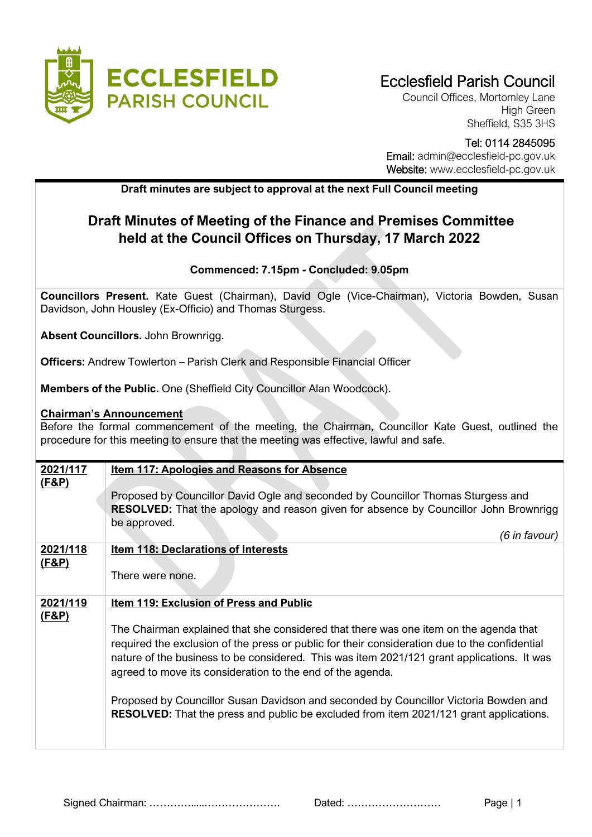

Council Offices, Mortomley Lane High Green Sheffield, S35 3HS

Tel: 0114 2845095 Email: admin@ecclesfield-pc.gov.uk Website: www.ecclesfield-pc.gov.uk

## **Draft minutes are subject to approval at the next Full Council meeting**

## **Draft Minutes of Meeting of the Finance and Premises Committee held at the Council Offices on Thursday, 17 March 2022**

## **Commenced: 7.15pm - Concluded: 9.05pm**

**Councillors Present.** Kate Guest (Chairman), David Ogle (Vice-Chairman), Victoria Bowden, Susan Davidson, John Housley (Ex-Officio) and Thomas Sturgess.

**Absent Councillors.** John Brownrigg.

**Officers:** Andrew Towlerton – Parish Clerk and Responsible Financial Officer

**Members of the Public.** One (Sheffield City Councillor Alan Woodcock).

## **Chairman's Announcement**

Before the formal commencement of the meeting, the Chairman, Councillor Kate Guest, outlined the procedure for this meeting to ensure that the meeting was effective, lawful and safe.

| 2021/117<br>(F&P) | <b>Item 117: Apologies and Reasons for Absence</b>                                                                                                                                                                                                                                                                                                 |
|-------------------|----------------------------------------------------------------------------------------------------------------------------------------------------------------------------------------------------------------------------------------------------------------------------------------------------------------------------------------------------|
|                   | Proposed by Councillor David Ogle and seconded by Councillor Thomas Sturgess and<br><b>RESOLVED:</b> That the apology and reason given for absence by Councillor John Brownrigg<br>be approved.                                                                                                                                                    |
|                   | (6 in favour)                                                                                                                                                                                                                                                                                                                                      |
| 2021/118          | <b>Item 118: Declarations of Interests</b>                                                                                                                                                                                                                                                                                                         |
| <u>(F&amp;P)</u>  |                                                                                                                                                                                                                                                                                                                                                    |
|                   | There were none.                                                                                                                                                                                                                                                                                                                                   |
| 2021/119          | <b>Item 119: Exclusion of Press and Public</b>                                                                                                                                                                                                                                                                                                     |
| (F&P)             |                                                                                                                                                                                                                                                                                                                                                    |
|                   | The Chairman explained that she considered that there was one item on the agenda that<br>required the exclusion of the press or public for their consideration due to the confidential<br>nature of the business to be considered. This was item 2021/121 grant applications. It was<br>agreed to move its consideration to the end of the agenda. |
|                   | Proposed by Councillor Susan Davidson and seconded by Councillor Victoria Bowden and<br><b>RESOLVED:</b> That the press and public be excluded from item 2021/121 grant applications.                                                                                                                                                              |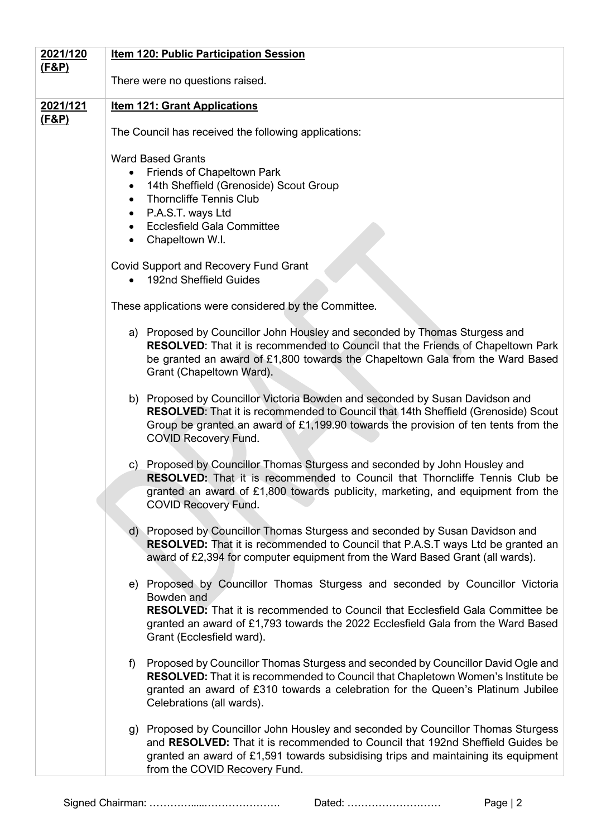| 2021/120         | <b>Item 120: Public Participation Session</b>                                                                                                                                                                                                                                                         |
|------------------|-------------------------------------------------------------------------------------------------------------------------------------------------------------------------------------------------------------------------------------------------------------------------------------------------------|
| <u>(F&amp;P)</u> | There were no questions raised.                                                                                                                                                                                                                                                                       |
| 2021/121         | <b>Item 121: Grant Applications</b>                                                                                                                                                                                                                                                                   |
| <u>(F&amp;P)</u> | The Council has received the following applications:                                                                                                                                                                                                                                                  |
|                  | <b>Ward Based Grants</b><br>Friends of Chapeltown Park<br>14th Sheffield (Grenoside) Scout Group<br>$\bullet$<br><b>Thorncliffe Tennis Club</b><br>$\bullet$<br>P.A.S.T. ways Ltd<br>$\bullet$<br><b>Ecclesfield Gala Committee</b><br>Chapeltown W.I.                                                |
|                  | Covid Support and Recovery Fund Grant<br>192nd Sheffield Guides<br>$\bullet$                                                                                                                                                                                                                          |
|                  | These applications were considered by the Committee.                                                                                                                                                                                                                                                  |
|                  | a) Proposed by Councillor John Housley and seconded by Thomas Sturgess and<br><b>RESOLVED:</b> That it is recommended to Council that the Friends of Chapeltown Park<br>be granted an award of £1,800 towards the Chapeltown Gala from the Ward Based<br>Grant (Chapeltown Ward).                     |
|                  | b) Proposed by Councillor Victoria Bowden and seconded by Susan Davidson and<br>RESOLVED: That it is recommended to Council that 14th Sheffield (Grenoside) Scout<br>Group be granted an award of $£1,199.90$ towards the provision of ten tents from the<br><b>COVID Recovery Fund.</b>              |
|                  | c) Proposed by Councillor Thomas Sturgess and seconded by John Housley and<br><b>RESOLVED:</b> That it is recommended to Council that Thorncliffe Tennis Club be<br>granted an award of £1,800 towards publicity, marketing, and equipment from the<br><b>COVID Recovery Fund.</b>                    |
|                  | d) Proposed by Councillor Thomas Sturgess and seconded by Susan Davidson and<br><b>RESOLVED:</b> That it is recommended to Council that P.A.S.T ways Ltd be granted an<br>award of £2,394 for computer equipment from the Ward Based Grant (all wards).                                               |
|                  | e) Proposed by Councillor Thomas Sturgess and seconded by Councillor Victoria<br>Bowden and<br><b>RESOLVED:</b> That it is recommended to Council that Ecclesfield Gala Committee be<br>granted an award of £1,793 towards the 2022 Ecclesfield Gala from the Ward Based<br>Grant (Ecclesfield ward). |
|                  | Proposed by Councillor Thomas Sturgess and seconded by Councillor David Ogle and<br>f)<br><b>RESOLVED:</b> That it is recommended to Council that Chapletown Women's Institute be<br>granted an award of £310 towards a celebration for the Queen's Platinum Jubilee<br>Celebrations (all wards).     |
|                  | g) Proposed by Councillor John Housley and seconded by Councillor Thomas Sturgess<br>and RESOLVED: That it is recommended to Council that 192nd Sheffield Guides be<br>granted an award of £1,591 towards subsidising trips and maintaining its equipment<br>from the COVID Recovery Fund.            |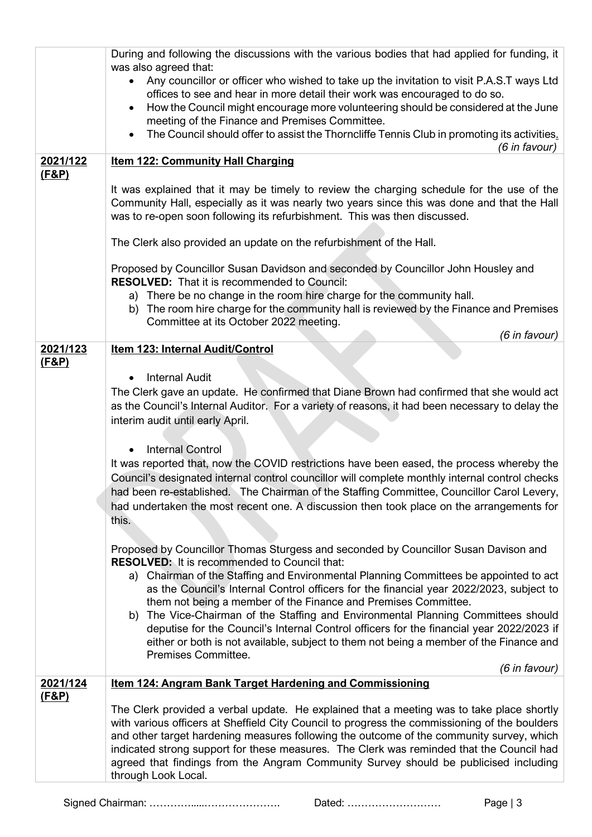|                              | During and following the discussions with the various bodies that had applied for funding, it                                                                                                                                                                         |
|------------------------------|-----------------------------------------------------------------------------------------------------------------------------------------------------------------------------------------------------------------------------------------------------------------------|
|                              | was also agreed that:<br>Any councillor or officer who wished to take up the invitation to visit P.A.S.T ways Ltd                                                                                                                                                     |
|                              | offices to see and hear in more detail their work was encouraged to do so.                                                                                                                                                                                            |
|                              | How the Council might encourage more volunteering should be considered at the June                                                                                                                                                                                    |
|                              | meeting of the Finance and Premises Committee.                                                                                                                                                                                                                        |
|                              | The Council should offer to assist the Thorncliffe Tennis Club in promoting its activities.<br>$\bullet$<br>(6 in favour)                                                                                                                                             |
| 2021/122                     | <b>Item 122: Community Hall Charging</b>                                                                                                                                                                                                                              |
| <u>(F&amp;P)</u>             |                                                                                                                                                                                                                                                                       |
|                              | It was explained that it may be timely to review the charging schedule for the use of the<br>Community Hall, especially as it was nearly two years since this was done and that the Hall<br>was to re-open soon following its refurbishment. This was then discussed. |
|                              | The Clerk also provided an update on the refurbishment of the Hall.                                                                                                                                                                                                   |
|                              | Proposed by Councillor Susan Davidson and seconded by Councillor John Housley and<br><b>RESOLVED:</b> That it is recommended to Council:                                                                                                                              |
|                              | a) There be no change in the room hire charge for the community hall.<br>b) The room hire charge for the community hall is reviewed by the Finance and Premises<br>Committee at its October 2022 meeting.                                                             |
|                              | (6 in favour)                                                                                                                                                                                                                                                         |
| 2021/123                     | Item 123: Internal Audit/Control                                                                                                                                                                                                                                      |
| (F&P)                        |                                                                                                                                                                                                                                                                       |
|                              | <b>Internal Audit</b>                                                                                                                                                                                                                                                 |
|                              | The Clerk gave an update. He confirmed that Diane Brown had confirmed that she would act<br>as the Council's Internal Auditor. For a variety of reasons, it had been necessary to delay the                                                                           |
|                              | interim audit until early April.                                                                                                                                                                                                                                      |
|                              |                                                                                                                                                                                                                                                                       |
|                              | <b>Internal Control</b>                                                                                                                                                                                                                                               |
|                              | It was reported that, now the COVID restrictions have been eased, the process whereby the                                                                                                                                                                             |
|                              | Council's designated internal control councillor will complete monthly internal control checks<br>had been re-established. The Chairman of the Staffing Committee, Councillor Carol Levery,                                                                           |
|                              | had undertaken the most recent one. A discussion then took place on the arrangements for                                                                                                                                                                              |
|                              | this.                                                                                                                                                                                                                                                                 |
|                              |                                                                                                                                                                                                                                                                       |
|                              | Proposed by Councillor Thomas Sturgess and seconded by Councillor Susan Davison and<br><b>RESOLVED:</b> It is recommended to Council that:                                                                                                                            |
|                              | a) Chairman of the Staffing and Environmental Planning Committees be appointed to act<br>as the Council's Internal Control officers for the financial year 2022/2023, subject to<br>them not being a member of the Finance and Premises Committee.                    |
|                              | b) The Vice-Chairman of the Staffing and Environmental Planning Committees should<br>deputise for the Council's Internal Control officers for the financial year 2022/2023 if                                                                                         |
|                              | either or both is not available, subject to them not being a member of the Finance and                                                                                                                                                                                |
|                              | Premises Committee.                                                                                                                                                                                                                                                   |
|                              | (6 in favour)                                                                                                                                                                                                                                                         |
| 2021/124<br><u>(F&amp;P)</u> | Item 124: Angram Bank Target Hardening and Commissioning                                                                                                                                                                                                              |
|                              | The Clerk provided a verbal update. He explained that a meeting was to take place shortly                                                                                                                                                                             |
|                              | with various officers at Sheffield City Council to progress the commissioning of the boulders                                                                                                                                                                         |
|                              | and other target hardening measures following the outcome of the community survey, which<br>indicated strong support for these measures. The Clerk was reminded that the Council had                                                                                  |
|                              | agreed that findings from the Angram Community Survey should be publicised including                                                                                                                                                                                  |
|                              | through Look Local.                                                                                                                                                                                                                                                   |